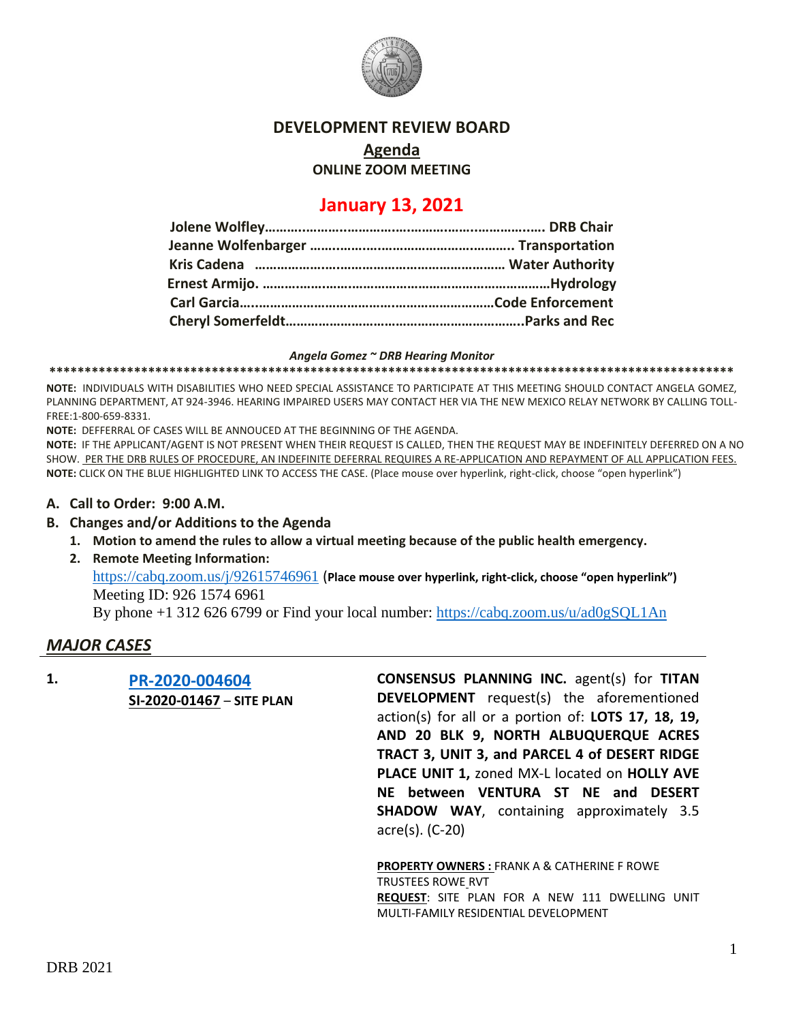

#### **DEVELOPMENT REVIEW BOARD**

**Agenda**

**ONLINE ZOOM MEETING**

# **January 13, 2021**

#### *Angela Gomez ~ DRB Hearing Monitor*

**\*\*\*\*\*\*\*\*\*\*\*\*\*\*\*\*\*\*\*\*\*\*\*\*\*\*\*\*\*\*\*\*\*\*\*\*\*\*\*\*\*\*\*\*\*\*\*\*\*\*\*\*\*\*\*\*\*\*\*\*\*\*\*\*\*\*\*\*\*\*\*\*\*\*\*\*\*\*\*\*\*\*\*\*\*\*\*\*\*\*\*\*\*\*\*\*\***

**NOTE:** INDIVIDUALS WITH DISABILITIES WHO NEED SPECIAL ASSISTANCE TO PARTICIPATE AT THIS MEETING SHOULD CONTACT ANGELA GOMEZ, PLANNING DEPARTMENT, AT 924-3946. HEARING IMPAIRED USERS MAY CONTACT HER VIA THE NEW MEXICO RELAY NETWORK BY CALLING TOLL-FREE:1-800-659-8331.

**NOTE:** DEFFERRAL OF CASES WILL BE ANNOUCED AT THE BEGINNING OF THE AGENDA.

**NOTE:** IF THE APPLICANT/AGENT IS NOT PRESENT WHEN THEIR REQUEST IS CALLED, THEN THE REQUEST MAY BE INDEFINITELY DEFERRED ON A NO SHOW. PER THE DRB RULES OF PROCEDURE, AN INDEFINITE DEFERRAL REQUIRES A RE-APPLICATION AND REPAYMENT OF ALL APPLICATION FEES. **NOTE:** CLICK ON THE BLUE HIGHLIGHTED LINK TO ACCESS THE CASE. (Place mouse over hyperlink, right-click, choose "open hyperlink")

#### **A. Call to Order: 9:00 A.M.**

- **B. Changes and/or Additions to the Agenda**
	- **1. Motion to amend the rules to allow a virtual meeting because of the public health emergency.**
	- **2. Remote Meeting Information:**

<https://cabq.zoom.us/j/92615746961> (**Place mouse over hyperlink, right-click, choose "open hyperlink")** Meeting ID: 926 1574 6961 By phone +1 312 626 6799 or Find your local number:<https://cabq.zoom.us/u/ad0gSQL1An>

## *MAJOR CASES*

**1. [PR-2020-004604](http://data.cabq.gov/government/planning/DRB/PR-2020-004604/DRB%20Submittals/PR-2020-004604_Jan_13_2021/Application/) SI-2020-01467** – **SITE PLAN** **CONSENSUS PLANNING INC.** agent(s) for **TITAN DEVELOPMENT** request(s) the aforementioned action(s) for all or a portion of: **LOTS 17, 18, 19, AND 20 BLK 9, NORTH ALBUQUERQUE ACRES TRACT 3, UNIT 3, and PARCEL 4 of DESERT RIDGE PLACE UNIT 1,** zoned MX-L located on **HOLLY AVE NE between VENTURA ST NE and DESERT SHADOW WAY**, containing approximately 3.5 acre(s). (C-20)

**PROPERTY OWNERS :** FRANK A & CATHERINE F ROWE TRUSTEES ROWE RVT **REQUEST**: SITE PLAN FOR A NEW 111 DWELLING UNIT MULTI-FAMILY RESIDENTIAL DEVELOPMENT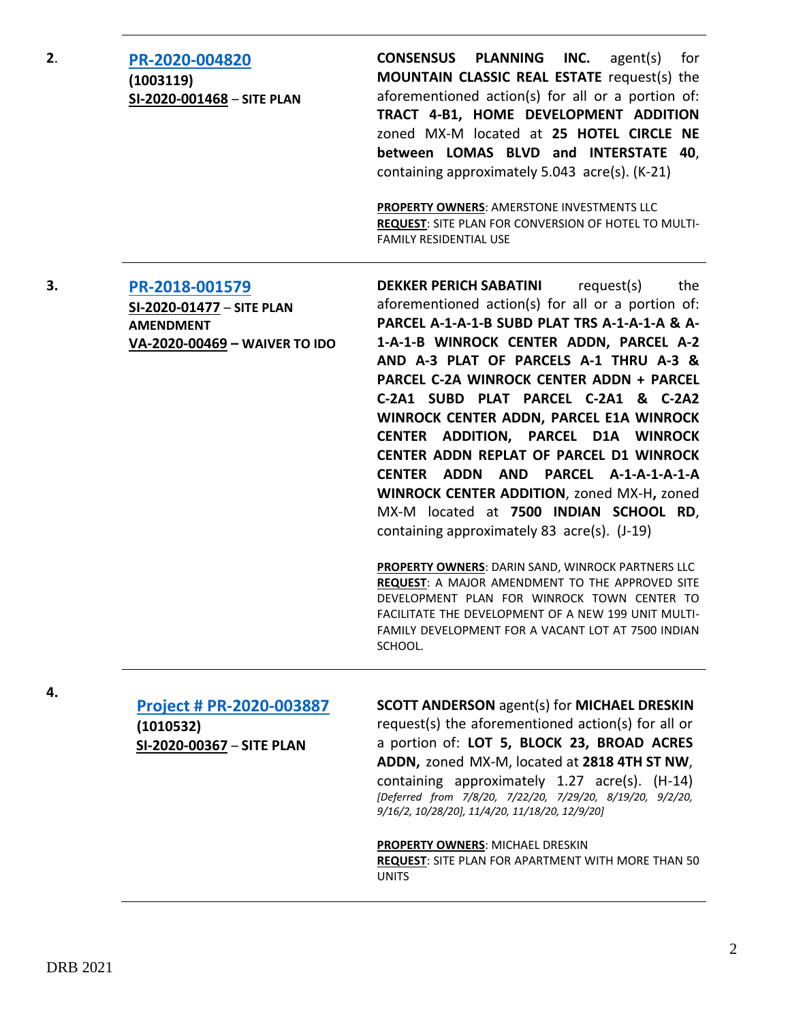| 2. | PR-2020-004820<br>(1003119)<br>SI-2020-001468 - SITE PLAN                                        | CONSENSUS PLANNING INC.<br>$agent(s)$ for<br><b>MOUNTAIN CLASSIC REAL ESTATE request(s) the</b><br>aforementioned action(s) for all or a portion of:<br>TRACT 4-B1, HOME DEVELOPMENT ADDITION<br>zoned MX-M located at 25 HOTEL CIRCLE NE<br>between LOMAS BLVD and INTERSTATE 40,<br>containing approximately 5.043 acre(s). (K-21)<br>PROPERTY OWNERS: AMERSTONE INVESTMENTS LLC<br>REQUEST: SITE PLAN FOR CONVERSION OF HOTEL TO MULTI-<br><b>FAMILY RESIDENTIAL USE</b>                                                                                                                                                                                                                                                                                                                                                                                                                                                  |
|----|--------------------------------------------------------------------------------------------------|------------------------------------------------------------------------------------------------------------------------------------------------------------------------------------------------------------------------------------------------------------------------------------------------------------------------------------------------------------------------------------------------------------------------------------------------------------------------------------------------------------------------------------------------------------------------------------------------------------------------------------------------------------------------------------------------------------------------------------------------------------------------------------------------------------------------------------------------------------------------------------------------------------------------------|
| 3. | PR-2018-001579<br>SI-2020-01477 - SITE PLAN<br><b>AMENDMENT</b><br>VA-2020-00469 - WAIVER TO IDO | request(s)<br>the<br><b>DEKKER PERICH SABATINI</b><br>aforementioned action(s) for all or a portion of:<br>PARCEL A-1-A-1-B SUBD PLAT TRS A-1-A-1-A & A-<br>1-A-1-B WINROCK CENTER ADDN, PARCEL A-2<br>AND A-3 PLAT OF PARCELS A-1 THRU A-3 &<br>PARCEL C-2A WINROCK CENTER ADDN + PARCEL<br>C-2A1 SUBD PLAT PARCEL C-2A1 & C-2A2<br>WINROCK CENTER ADDN, PARCEL E1A WINROCK<br>CENTER ADDITION, PARCEL D1A WINROCK<br>CENTER ADDN REPLAT OF PARCEL D1 WINROCK<br>CENTER ADDN AND PARCEL A-1-A-1-A-1-A<br>WINROCK CENTER ADDITION, zoned MX-H, zoned<br>MX-M located at 7500 INDIAN SCHOOL RD,<br>containing approximately 83 acre(s). (J-19)<br>PROPERTY OWNERS: DARIN SAND, WINROCK PARTNERS LLC<br>REQUEST: A MAJOR AMENDMENT TO THE APPROVED SITE<br>DEVELOPMENT PLAN FOR WINROCK TOWN CENTER TO<br>FACILITATE THE DEVELOPMENT OF A NEW 199 UNIT MULTI-<br>FAMILY DEVELOPMENT FOR A VACANT LOT AT 7500 INDIAN<br>SCHOOL. |
| 4. | <b>Project # PR-2020-003887</b><br>(1010532)<br>SI-2020-00367 - SITE PLAN                        | <b>SCOTT ANDERSON</b> agent(s) for <b>MICHAEL DRESKIN</b><br>request(s) the aforementioned action(s) for all or<br>a portion of: LOT 5, BLOCK 23, BROAD ACRES<br>ADDN, zoned MX-M, located at 2818 4TH ST NW,<br>containing approximately 1.27 acre(s). (H-14)<br>[Deferred from 7/8/20, 7/22/20, 7/29/20, 8/19/20, 9/2/20,<br>9/16/2, 10/28/20], 11/4/20, 11/18/20, 12/9/20]<br><b>PROPERTY OWNERS: MICHAEL DRESKIN</b><br><b>REQUEST:</b> SITE PLAN FOR APARTMENT WITH MORE THAN 50<br><b>UNITS</b>                                                                                                                                                                                                                                                                                                                                                                                                                        |

**4.**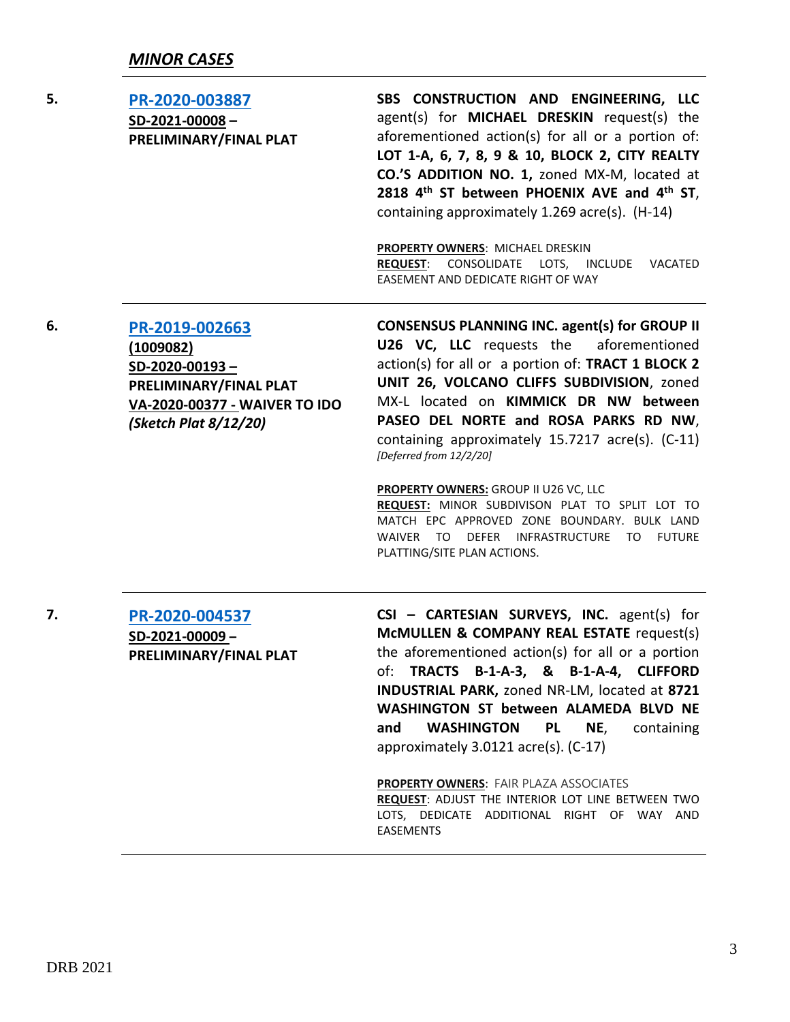#### *MINOR CASES*

| 5. | PR-2020-003887         | SBS CONSTRUCTION AND ENGINEERING, LLC               |  |  |
|----|------------------------|-----------------------------------------------------|--|--|
|    | $SD-2021-00008-$       | agent(s) for <b>MICHAEL DRESKIN</b> request(s) the  |  |  |
|    | PRELIMINARY/FINAL PLAT | aforementioned action(s) for all or a portion of:   |  |  |
|    |                        | LOT 1-A, 6, 7, 8, 9 & 10, BLOCK 2, CITY REALTY      |  |  |
|    |                        | <b>CO.'S ADDITION NO. 1, zoned MX-M, located at</b> |  |  |
|    |                        | 2818 4th ST between PHOENIX AVE and 4th ST,         |  |  |
|    |                        | containing approximately 1.269 acre(s). (H-14)      |  |  |
|    |                        | <b>PROPERTY OWNERS: MICHAEL DRESKIN</b>             |  |  |
|    |                        | <b>REQUEST: CONSOLIDATE LOTS, INCLUDE VACATED</b>   |  |  |
|    |                        | EASEMENT AND DEDICATE RIGHT OF WAY                  |  |  |

**6. [PR-2019-002663](http://data.cabq.gov/government/planning/DRB/PR-2019-002663/DRB%20Submittals/)**

**(1009082) SD-2020-00193 – PRELIMINARY/FINAL PLAT VA-2020-00377 - WAIVER TO IDO** *(Sketch Plat 8/12/20)*

**CONSENSUS PLANNING INC. agent(s) for GROUP II U26 VC, LLC** requests the aforementioned action(s) for all or a portion of: **TRACT 1 BLOCK 2 UNIT 26, VOLCANO CLIFFS SUBDIVISION**, zoned MX-L located on **KIMMICK DR NW between PASEO DEL NORTE and ROSA PARKS RD NW**, containing approximately 15.7217 acre(s). (C-11) *[Deferred from 12/2/20]*

**PROPERTY OWNERS: GROUP II U26 VC, LLC** 

**REQUEST:** MINOR SUBDIVISON PLAT TO SPLIT LOT TO MATCH EPC APPROVED ZONE BOUNDARY. BULK LAND WAIVER TO DEFER INFRASTRUCTURE TO FUTURE PLATTING/SITE PLAN ACTIONS.

**7. [PR-2020-004537](http://data.cabq.gov/government/planning/DRB/PR-2020-004537/DRB%20Submittals/PR-2020-004537_JAN_13_2021/Application/DRB-app_Final_PR-2020-004537RS.pdf) SD-2021-00009 – PRELIMINARY/FINAL PLAT** **CSI – CARTESIAN SURVEYS, INC.** agent(s) for **McMULLEN & COMPANY REAL ESTATE** request(s) the aforementioned action(s) for all or a portion of: **TRACTS B-1-A-3, & B-1-A-4, CLIFFORD INDUSTRIAL PARK,** zoned NR-LM, located at **8721 WASHINGTON ST between ALAMEDA BLVD NE and WASHINGTON PL NE**, containing approximately 3.0121 acre(s). (C-17)

**PROPERTY OWNERS**: FAIR PLAZA ASSOCIATES **REQUEST**: ADJUST THE INTERIOR LOT LINE BETWEEN TWO LOTS, DEDICATE ADDITIONAL RIGHT OF WAY AND EASEMENTS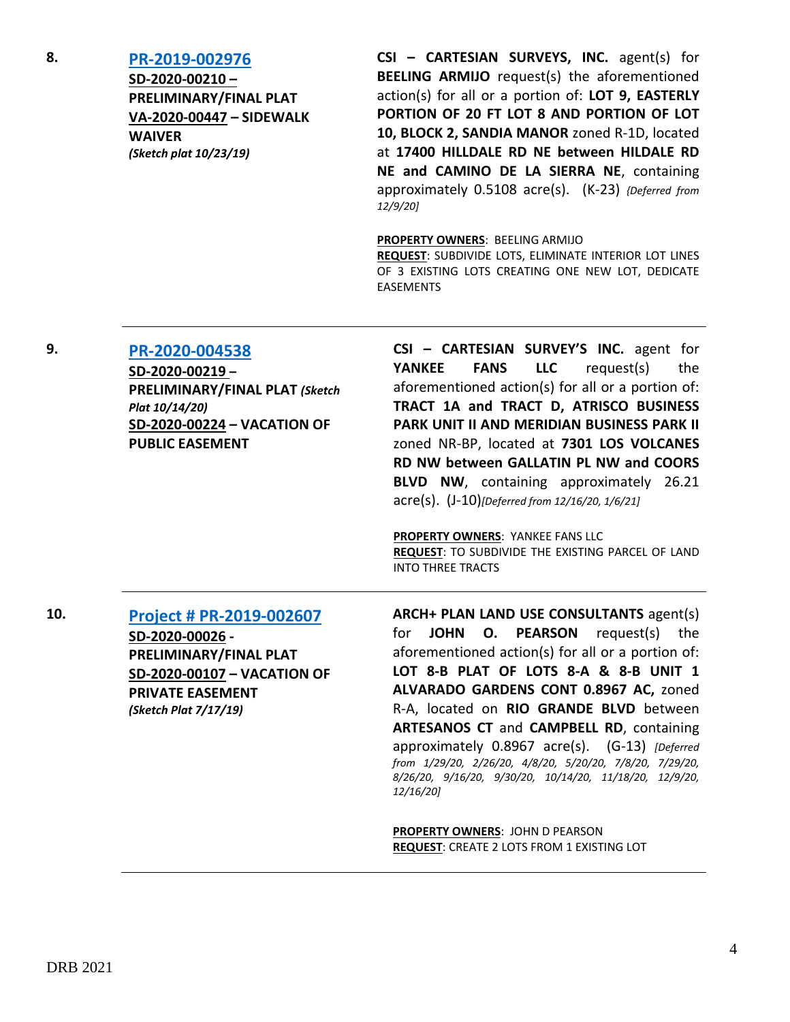## **8. [PR-2019-002976](http://data.cabq.gov/government/planning/DRB/PR-2019-002976/DRB%20Submittals/) SD-2020-00210 – PRELIMINARY/FINAL PLAT VA-2020-00447 – SIDEWALK WAIVER** *(Sketch plat 10/23/19)*

**CSI – CARTESIAN SURVEYS, INC.** agent(s) for **BEELING ARMIJO** request(s) the aforementioned action(s) for all or a portion of: **LOT 9, EASTERLY PORTION OF 20 FT LOT 8 AND PORTION OF LOT 10, BLOCK 2, SANDIA MANOR** zoned R-1D, located at **17400 HILLDALE RD NE between HILDALE RD NE and CAMINO DE LA SIERRA NE**, containing approximately 0.5108 acre(s). (K-23) *{Deferred from 12/9/20]*

**PROPERTY OWNERS**: BEELING ARMIJO **REQUEST**: SUBDIVIDE LOTS, ELIMINATE INTERIOR LOT LINES OF 3 EXISTING LOTS CREATING ONE NEW LOT, DEDICATE EASEMENTS

**9. [PR-2020-004538](http://data.cabq.gov/government/planning/DRB/PR-2020-004538/DRB%20Submittals/)**

**SD-2020-00219 – PRELIMINARY/FINAL PLAT** *(Sketch Plat 10/14/20)* **SD-2020-00224 – VACATION OF PUBLIC EASEMENT**

**CSI – CARTESIAN SURVEY'S INC.** agent for **YANKEE FANS LLC** request(s) the aforementioned action(s) for all or a portion of: **TRACT 1A and TRACT D, ATRISCO BUSINESS PARK UNIT II AND MERIDIAN BUSINESS PARK II** zoned NR-BP, located at **7301 LOS VOLCANES RD NW between GALLATIN PL NW and COORS BLVD NW**, containing approximately 26.21 acre(s). (J-10)*[Deferred from 12/16/20, 1/6/21]*

**PROPERTY OWNERS**: YANKEE FANS LLC **REQUEST**: TO SUBDIVIDE THE EXISTING PARCEL OF LAND INTO THREE TRACTS

**10. [Project # PR-2019-002607](http://data.cabq.gov/government/planning/DRB/PR-2019-002607/DRB%20Submittals/)**

**SD-2020-00026 - PRELIMINARY/FINAL PLAT SD-2020-00107 – VACATION OF PRIVATE EASEMENT** *(Sketch Plat 7/17/19)*

**ARCH+ PLAN LAND USE CONSULTANTS** agent(s) for **JOHN O. PEARSON** request(s) the aforementioned action(s) for all or a portion of: **LOT 8-B PLAT OF LOTS 8-A & 8-B UNIT 1 ALVARADO GARDENS CONT 0.8967 AC,** zoned R-A, located on **RIO GRANDE BLVD** between **ARTESANOS CT** and **CAMPBELL RD**, containing approximately 0.8967 acre(s). (G-13) *[Deferred from 1/29/20, 2/26/20, 4/8/20, 5/20/20, 7/8/20, 7/29/20, 8/26/20, 9/16/20, 9/30/20, 10/14/20, 11/18/20, 12/9/20, 12/16/20]*

**PROPERTY OWNERS**: JOHN D PEARSON **REQUEST**: CREATE 2 LOTS FROM 1 EXISTING LOT